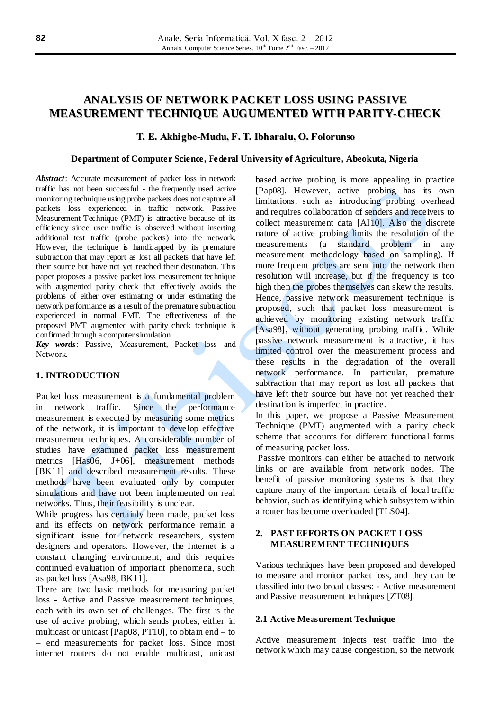# **ANALYSIS OF NETWORK PACKET LOSS USING PASSIVE MEASUREMENT TECHNIQUE AUGUMENTED WITH PARITY-CHECK**

# **T. E. Akhigbe-Mudu, F. T. Ibharalu, O. Folorunso**

#### **Department of Computer Science, Federal University of Agriculture, Abeokuta, Nigeria**

*Abstract*: Accurate measurement of packet loss in network traffic has not been successful - the frequently used active monitoring technique using probe packets does not capture all packets loss experienced in traffic network. Passive Measurement Technique (PMT) is attractive because of its efficiency since user traffic is observed without inserting additional test traffic (probe packets) into the network. However, the technique is handicapped by its premature subtraction that may report as lost all packets that have left their source but have not yet reached their destination. This paper proposes a passive packet loss measurement technique with augmented parity check that effectively avoids the problems of either over estimating or under estimating the network performance as a result of the premature subtraction experienced in normal PMT. The effectiveness of the proposed PMT augmented with parity check technique is confirmed through a computer simulation.

*Key words*: Passive, Measurement, Packet loss and Network.

# **1. INTRODUCTION**

Packet loss measurement is a fundamental problem in network traffic. Since the performance measurement is executed by measuring some metrics of the network, it is important to develop effective measurement techniques. A considerable number of studies have examined packet loss measurement metrics [Has06, J+06], measurement methods [BK11] and described measurement results. These methods have been evaluated only by computer simulations and have not been implemented on real networks. Thus, their feasibility is unclear.

While progress has certainly been made, packet loss and its effects on network performance remain a significant issue for network researchers, system designers and operators. However, the Internet is a constant changing environment, and this requires continued evaluation of important phenomena, such as packet loss [Asa98, BK11].

There are two basic methods for measuring packet loss - Active and Passive measurement techniques, each with its own set of challenges. The first is the use of active probing, which sends probes, either in multicast or unicast [Pap08, PT10], to obtain end – to – end measurements for packet loss. Since most internet routers do not enable multicast, unicast based active probing is more appealing in practice [Pap08]. However, active probing has its own limitations, such as introducing probing overhead and requires collaboration of senders and receivers to collect measurement data [AI10]. Also the discrete nature of active probing limits the resolution of the measurements (a standard problem in any measurement methodology based on sampling). If more frequent probes are sent into the network then resolution will increase, but if the frequency is too high then the probes themselves can skew the results. Hence, passive network measurement technique is proposed, such that packet loss measurement is achieved by monitoring existing network traffic [Asa98], without generating probing traffic. While passive network measurement is attractive, it has limited control over the measurement process and these results in the degradation of the overall network performance. In particular, premature subtraction that may report as lost all packets that have left their source but have not yet reached their destination is imperfect in practice.

In this paper, we propose a Passive Measurement Technique (PMT) augmented with a parity check scheme that accounts for different functional forms of measuring packet loss.

Passive monitors can either be attached to network links or are available from network nodes. The benefit of passive monitoring systems is that they capture many of the important details of local traffic behavior, such as identifying which subsystem within a router has become overloaded [TLS04].

# **2. PAST EFFORTS ON PACKET LOSS MEASUREMENT TECHNIQUES**

Various techniques have been proposed and developed to measure and monitor packet loss, and they can be classified into two broad classes: - Active measurement and Passive measurement techniques [ZT08].

## **2.1 Active Measurement Technique**

Active measurement injects test traffic into the network which may cause congestion, so the network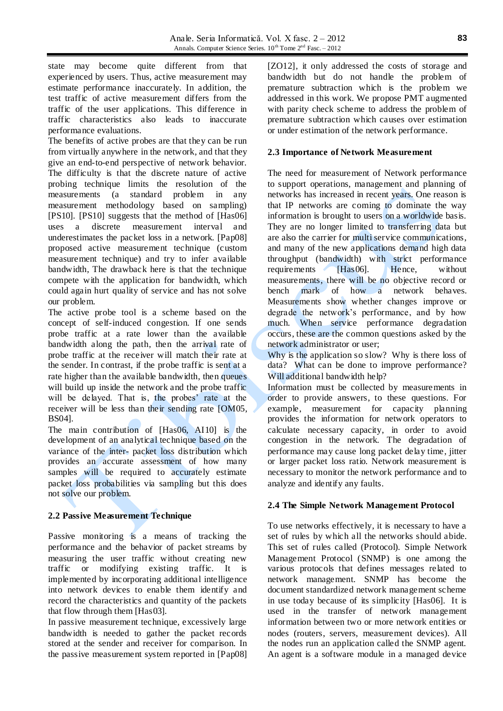state may become quite different from that experienced by users. Thus, active measurement may estimate performance inaccurately. In addition, the test traffic of active measurement differs from the traffic of the user applications. This difference in traffic characteristics also leads to inaccurate performance evaluations.

The benefits of active probes are that they can be run from virtually anywhere in the network, and that they give an end-to-end perspective of network behavior. The difficulty is that the discrete nature of active probing technique limits the resolution of the measurements (a standard problem in any measurement methodology based on sampling) [PS10]. [PS10] suggests that the method of [Has06] uses a discrete measurement interval and underestimates the packet loss in a network. [Pap08] proposed active measurement technique (custom measurement technique) and try to infer available bandwidth, The drawback here is that the technique compete with the application for bandwidth, which could again hurt quality of service and has not solve our problem.

The active probe tool is a scheme based on the concept of self-induced congestion. If one sends probe traffic at a rate lower than the available bandwidth along the path, then the arrival rate of probe traffic at the receiver will match their rate at the sender. In contrast, if the probe traffic is sent at a rate higher than the available bandwidth, then queues will build up inside the network and the probe traffic will be delayed. That is, the probes' rate at the receiver will be less than their sending rate [OM05, BS04].

The main contribution of [Has06, AI10] is the development of an analytical technique based on the variance of the inter- packet loss distribution which provides an accurate assessment of how many samples will be required to accurately estimate packet loss probabilities via sampling but this does not solve our problem.

# **2.2 Passive Measurement Technique**

Passive monitoring is a means of tracking the performance and the behavior of packet streams by measuring the user traffic without creating new traffic or modifying existing traffic. It is implemented by incorporating additional intelligence into network devices to enable them identify and record the characteristics and quantity of the packets that flow through them [Has03].

In passive measurement technique, excessively large bandwidth is needed to gather the packet records stored at the sender and receiver for comparison. In the passive measurement system reported in [Pap08] [ZO12], it only addressed the costs of storage and bandwidth but do not handle the problem of premature subtraction which is the problem we addressed in this work. We propose PMT augmented with parity check scheme to address the problem of premature subtraction which causes over estimation or under estimation of the network performance.

# **2.3 Importance of Network Measurement**

The need for measurement of Network performance to support operations, management and planning of networks has increased in recent years. One reason is that IP networks are coming to dominate the way information is brought to users on a worldwide basis. They are no longer limited to transferring data but are also the carrier for multi service communications, and many of the new applications demand high data throughput (bandwidth) with strict performance requirements [Has06]. Hence, without measurements, there will be no objective record or bench mark of how a network behaves. Measurements show whether changes improve or degrade the network's performance, and by how much. When service performance degradation occurs, these are the common questions asked by the network administrator or user;

Why is the application so slow? Why is there loss of data? What can be done to improve performance? Will additional bandwidth help?

Information must be collected by measurements in order to provide answers, to these questions. For example, measurement for capacity planning provides the information for network operators to calculate necessary capacity, in order to avoid congestion in the network. The degradation of performance may cause long packet delay time, jitter or larger packet loss ratio. Network measurement is necessary to monitor the network performance and to analyze and identify any faults.

# **2.4 The Simple Network Management Protocol**

To use networks effectively, it is necessary to have a set of rules by which all the networks should abide. This set of rules called (Protocol). Simple Network Management Protocol (SNMP) is one among the various protocols that defines messages related to network management. SNMP has become the document standardized network management scheme in use today because of its simplicity [Has06]. It is used in the transfer of network management information between two or more network entities or nodes (routers, servers, measurement devices). All the nodes run an application called the SNMP agent. An agent is a software module in a managed device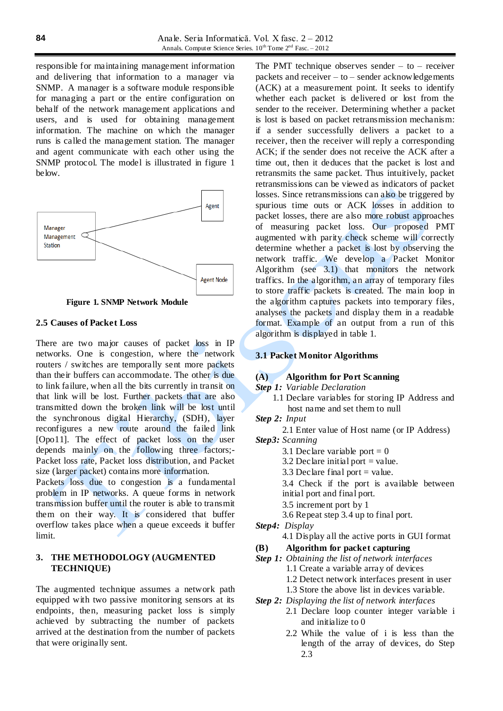responsible for maintaining management information and delivering that information to a manager via SNMP. A manager is a software module responsible for managing a part or the entire configuration on behalf of the network management applications and users, and is used for obtaining management information. The machine on which the manager runs is called the management station. The manager and agent communicate with each other using the SNMP protocol. The model is illustrated in figure 1 below.



**Figure 1. SNMP Network Module**

## **2.5 Causes of Packet Loss**

There are two major causes of packet loss in IP networks. One is congestion, where the network routers / switches are temporally sent more packets than their buffers can accommodate. The other is due to link failure, when all the bits currently in transit on that link will be lost. Further packets that are also transmitted down the broken link will be lost until the synchronous digital Hierarchy, (SDH), layer reconfigures a new route around the failed link [Opo11]. The effect of packet loss on the user depends mainly on the following three factors;- Packet loss rate, Packet loss distribution, and Packet size (larger packet) contains more information.

Packets loss due to congestion is a fundamental problem in IP networks. A queue forms in network transmission buffer until the router is able to transmit them on their way. It is considered that buffer overflow takes place when a queue exceeds it buffer limit.

# **3. THE METHODOLOGY (AUGMENTED TECHNIQUE)**

The augmented technique assumes a network path equipped with two passive monitoring sensors at its endpoints, then, measuring packet loss is simply achieved by subtracting the number of packets arrived at the destination from the number of packets that were originally sent.

The PMT technique observes sender  $-$  to  $-$  receiver packets and receiver  $-$  to  $-$  sender acknowledgements (ACK) at a measurement point. It seeks to identify whether each packet is delivered or lost from the sender to the receiver. Determining whether a packet is lost is based on packet retransmission mechanism: if a sender successfully delivers a packet to a receiver, then the receiver will reply a corresponding ACK; if the sender does not receive the ACK after a time out, then it deduces that the packet is lost and retransmits the same packet. Thus intuitively, packet retransmissions can be viewed as indicators of packet losses. Since retransmissions can also be triggered by spurious time outs or ACK losses in addition to packet losses, there are also more robust approaches of measuring packet loss. Our proposed PMT augmented with parity check scheme will correctly determine whether a packet is lost by observing the network traffic. We develop a Packet Monitor Algorithm (see 3.1) that monitors the network traffics. In the algorithm, an array of temporary files to store traffic packets is created. The main loop in the algorithm captures packets into temporary files, analyses the packets and display them in a readable format. Example of an output from a run of this algorithm is displayed in table 1.

### **3.1 Packet Monitor Algorithms**

### **(A) Algorithm for Port Scanning**

- *Step 1: Variable Declaration* 
	- 1.1 Declare variables for storing IP Address and host name and set them to null
- *Step 2: Input*
	- 2.1 Enter value of Host name (or IP Address)
- *Step3: Scanning* 
	- 3.1 Declare variable port  $= 0$
	- 3.2 Declare initial port  $=$  value.
	- 3.3 Declare final port  $=$  value.

3.4 Check if the port is available between initial port and final port.

- 3.5 increment port by 1
- 3.6 Repeat step 3.4 up to final port.
- *Step4: Display* 
	- 4.1 Display all the active ports in GUI format

## **(B) Algorithm for packet capturing**

- *Step 1: Obtaining the list of network interfaces*  1.1 Create a variable array of devices
	- 1.2 Detect network interfaces present in user
	- 1.3 Store the above list in devices variable.
- *Step 2: Displaying the list of network interfaces*
	- 2.1 Declare loop counter integer variable i and initialize to 0
	- 2.2 While the value of i is less than the length of the array of devices, do Step 2.3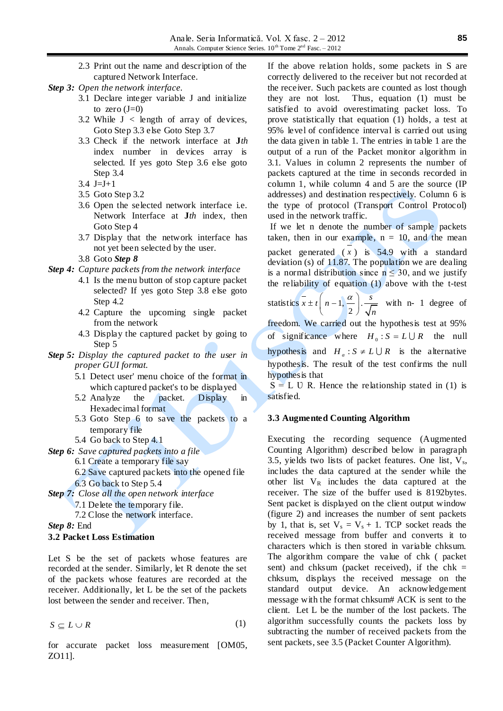- 2.3 Print out the name and description of the captured Network Interface.
- *Step 3: Open the network interface.*
	- 3.1 Declare integer variable J and initialize to zero  $(J=0)$
	- 3.2 While  $J \leq \text{length}$  of array of devices, Goto Step 3.3 else Goto Step 3.7
	- 3.3 Check if the network interface at **J***th* index number in devices array is selected. If yes goto Step 3.6 else goto Step 3.4
	- 3.4  $J=J+1$
	- 3.5 Goto Step 3.2
	- 3.6 Open the selected network interface i.e. Network Interface at **J***th* index, then Goto Step 4
	- 3.7 Display that the network interface has not yet been selected by the user.
	- 3.8 Goto *Step 8*
- *Step 4: Capture packets from the network interface* 
	- 4.1 Is the menu button of stop capture packet selected? If yes goto Step 3.8 else goto Step 4.2
	- 4.2 Capture the upcoming single packet from the network
	- 4.3 Display the captured packet by going to Step 5
- *Step 5: Display the captured packet to the user in proper GUI format.* 
	- 5.1 Detect user' menu choice of the format in which captured packet's to be displayed
	- 5.2 Analyze the packet. Display in Hexadecimal format
	- 5.3 Goto Step 6 to save the packets to a temporary file
	- 5.4 Go back to Step 4.1
- *Step 6: Save captured packets into a file* 
	- 6.1 Create a temporary file say
	- 6.2 Save captured packets into the opened file 6.3 Go back to Step 5.4
- *Step 7: Close all the open network interface* 
	- 7.1 Delete the temporary file.
		- 7.2 Close the network interface.

*Step 8:* End

#### **3.2 Packet Loss Estimation**

Let S be the set of packets whose features are recorded at the sender. Similarly, let R denote the set of the packets whose features are recorded at the receiver. Additionally, let L be the set of the packets lost between the sender and receiver. Then,

$$
S \subseteq L \cup R \tag{1}
$$

for accurate packet loss measurement [OM05, ZO11].

If the above relation holds, some packets in S are correctly delivered to the receiver but not recorded at the receiver. Such packets are counted as lost though they are not lost. Thus, equation (1) must be satisfied to avoid overestimating packet loss. To prove statistically that equation (1) holds, a test at 95% level of confidence interval is carried out using the data given in table 1. The entries in table 1 are the output of a run of the Packet monitor algorithm in 3.1. Values in column 2 represents the number of packets captured at the time in seconds recorded in column 1, while column 4 and 5 are the source (IP addresses) and destination respectively. Column 6 is the type of protocol (Transport Control Protocol) used in the network traffic.

If we let n denote the number of sample packets taken, then in our example,  $n = 10$ , and the mean packet generated  $(x)$  is 54.9 with a standard deviation (s) of 11.87. The population we are dealing is a normal distribution since  $n \leq 30$ , and we justify the reliability of equation (1) above with the t-test

statistics  $x \pm t \left[ n-1, \frac{u}{n} \right]$ . 2  $\frac{1}{x}$   $\pm$  *t*  $\left(n-1, \frac{\alpha}{n}\right)$ . *n*  $\pm t\left(n-1,\frac{\alpha}{2}\right) \cdot \frac{s}{\sqrt{n}}$  with n- 1 degree of

freedom. We carried out the hypothesis test at 95% of significance where  $H_0: S = L \cup R$  the null hypothesis and  $H_a$ :  $S \neq L \cup R$  is the alternative hypothesis. The result of the test confirms the null hypothesis that

 $S = L U R$ . Hence the relationship stated in (1) is satisfied.

#### **3.3 Augmented Counting Algorithm**

Executing the recording sequence (Augmented Counting Algorithm) described below in paragraph 3.5, yields two lists of packet features. One list,  $V_s$ , includes the data captured at the sender while the other list  $V_R$  includes the data captured at the receiver. The size of the buffer used is 8192bytes. Sent packet is displayed on the client output window (figure 2) and increases the number of sent packets by 1, that is, set  $V_s = V_s + 1$ . TCP socket reads the received message from buffer and converts it to characters which is then stored in variable chksum. The algorithm compare the value of chk ( packet sent) and chksum (packet received), if the chk  $=$ chksum, displays the received message on the standard output device. An acknowledgement message with the format chksum# ACK is sent to the client. Let L be the number of the lost packets. The algorithm successfully counts the packets loss by subtracting the number of received packets from the sent packets, see 3.5 (Packet Counter Algorithm).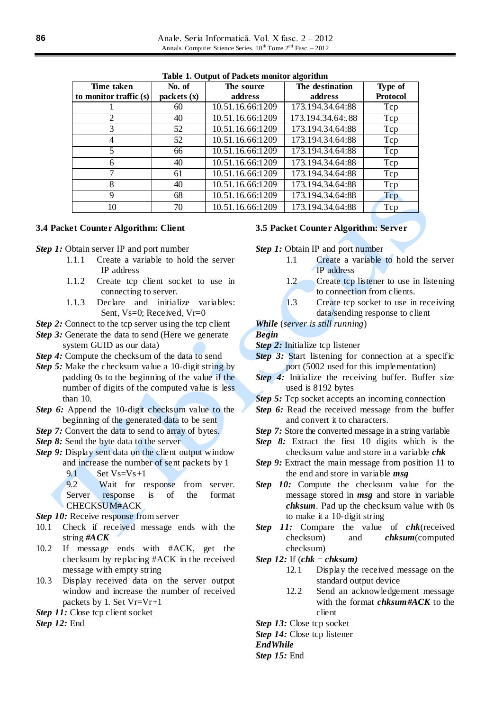| Time taken<br>to monitor traffic (s) | No. of<br>packets(x) | The source<br>address | The destination<br>address | Type of<br><b>Protocol</b> |
|--------------------------------------|----------------------|-----------------------|----------------------------|----------------------------|
|                                      | 60                   | 10.51.16.66:1209      | 173.194.34.64:88           | Tcp                        |
| $\overline{2}$                       | 40                   | 10.51.16.66:1209      | 173.194.34.64:88           | Tcp                        |
| 3                                    | 52                   | 10.51.16.66:1209      | 173.194.34.64:88           | Tcp                        |
| 4                                    | 52                   | 10.51.16.66:1209      | 173.194.34.64:88           | Tcp                        |
| 5                                    | 66                   | 10.51.16.66:1209      | 173.194.34.64:88           | Tcp                        |
| 6                                    | 40                   | 10.51.16.66:1209      | 173.194.34.64:88           | Tcp                        |
| 7                                    | 61                   | 10.51.16.66:1209      | 173.194.34.64:88           | Tcp                        |
| 8                                    | 40                   | 10.51.16.66:1209      | 173.194.34.64:88           | Tcp                        |
| 9                                    | 68                   | 10.51.16.66:1209      | 173.194.34.64:88           | Tcp                        |
| 10                                   | 70                   | 10.51.16.66:1209      | 173.194.34.64:88           | Tcp                        |

**Table 1. Output of Packets monitor algorithm**

## **3.4 Packet Counter Algorithm: Client**

*Step 1:* Obtain server IP and port number

- 1.1.1 Create a variable to hold the server IP address
- 1.1.2 Create tcp client socket to use in connecting to server.
- 1.1.3 Declare and initialize variables: Sent,  $V_s=0$ : Received,  $V_r=0$
- *Step 2:* Connect to the tcp server using the tcp client
- *Step* 3: Generate the data to send (Here we generate system GUID as our data)
- *Step 4:* Compute the checksum of the data to send
- *Step 5:* Make the checksum value a 10-digit string by padding 0s to the beginning of the value if the number of digits of the computed value is less than 10.
- *Step 6:* Append the 10-digit checksum value to the beginning of the generated data to be sent
- *Step 7:* Convert the data to send to array of bytes.
- *Step 8:* Send the byte data to the server
- *Step 9:* Display sent data on the client output window and increase the number of sent packets by 1 9.1 Set  $V_s = V_s + 1$ 
	- 9.2 Wait for response from server.<br>Server response is of the format Server response is of the format CHECKSUM#ACK
- *Step 10:* Receive response from server
- 10.1 Check if received message ends with the string *#ACK*
- 10.2 If message ends with #ACK, get the checksum by replacing #ACK in the received message with empty string
- 10.3 Display received data on the server output window and increase the number of received packets by 1. Set Vr=Vr+1
- *Step 11:* Close tcp client socket

*Step 12:* End

# **3.5 Packet Counter Algorithm: Server**

*Step 1:* Obtain IP and port number

- 1.1 Create a variable to hold the server IP address
- 1.2 Create tcp listener to use in listening to connection from clients.
- 1.3 Create tcp socket to use in receiving data/sending response to client

# *While* (*server is still running*)

#### *Begin*

- *Step 2:* Initialize tcp listener
- *Step 3:* Start listening for connection at a specific port (5002 used for this implementation)
- *Step 4:* Initialize the receiving buffer. Buffer size used is 8192 bytes
- *Step 5:* Tcp socket accepts an incoming connection
- *Step 6:* Read the received message from the buffer and convert it to characters.
- *Step 7:* Store the converted message in a string variable
- *Step 8:* Extract the first 10 digits which is the checksum value and store in a variable *chk*
- *Step 9:* Extract the main message from position 11 to the end and store in variable *msg*
- **Step 10:** Compute the checksum value for the message stored in *msg* and store in variable *chksum*. Pad up the checksum value with 0s to make it a 10-digit string
- *Step 11:* Compare the value of *chk*(received checksum) and *chksum*(computed checksum)
- *Step 12:* If (*chk* = *chksum)*
	- 12.1 Display the received message on the standard output device
	- 12.2 Send an acknowledgement message with the format *chksum#ACK* to the client

*Step 13:* Close tcp socket

*Step 14:* Close tcp listener

*EndWhile*

*Step 15:* End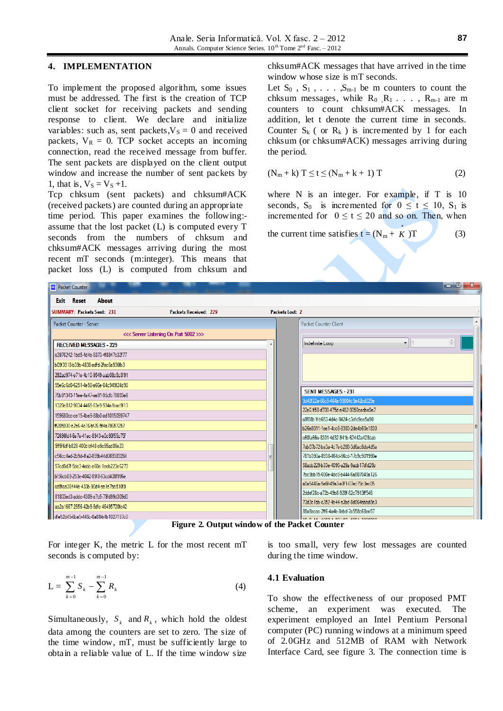### **4. IMPLEMENTATION**

To implement the proposed algorithm, some issues must be addressed. The first is the creation of TCP client socket for receiving packets and sending response to client. We declare and initialize variables: such as, sent packets, $V_S = 0$  and received packets,  $V_R = 0$ . TCP socket accepts an incoming connection, read the received message from buffer. The sent packets are displayed on the client output window and increase the number of sent packets by 1, that is,  $V_S = V_S +1$ .

Tcp chksum (sent packets) and chksum#ACK (received packets) are counted during an appropriate time period. This paper examines the following: assume that the lost packet (L) is computed every T seconds from the numbers of chksum and chksum#ACK messages arriving during the most recent mT seconds (m:integer). This means that packet loss (L) is computed from chksum and chksum#ACK messages that have arrived in the time window whose size is mT seconds.

Let  $S_0$ ,  $S_1$ ,  $\ldots$ ,  $S_{m-1}$  be m counters to count the chksum messages, while  $R_0$   $R_1$ ...,  $R_{m-1}$  are m counters to count chksum#ACK messages. In addition, let t denote the current time in seconds. Counter  $S_k$  ( or  $R_k$  ) is incremented by 1 for each chksum (or chksum#ACK) messages arriving during the period.

$$
(N_m + k) T \le t \le (N_m + k + 1) T \tag{2}
$$

where N is an integer. For example, if T is 10 seconds,  $S_0$  is incremented for  $0 \le t \le 10$ ,  $S_1$  is incremented for  $0 \le t \le 20$  and so on. Then, when

the current time satisfies  $t = (N_m + K)$ \*  $(3)$ 

| <b>M</b> Packet Counter              |                                       |                 |                                                                              | $\mathbf{x}$<br>ا وابع      |
|--------------------------------------|---------------------------------------|-----------------|------------------------------------------------------------------------------|-----------------------------|
| <b>Exit</b> Reset<br><b>About</b>    |                                       |                 |                                                                              |                             |
| <b>SUMMARY: Packets Sent: 231</b>    | <b>Packets Received: 229</b>          | Packets Lost: 2 |                                                                              |                             |
| Packet Counter - Server              |                                       |                 | <b>Packet Counter Client</b>                                                 |                             |
|                                      | <<< Server Listening On Port 5002 >>> |                 |                                                                              |                             |
| <b>RECEIVED MESSAGES - 229</b>       |                                       | Â               | $\mathbf{r}$   1<br>Indefinite Loop                                          | $\frac{\mathbb{A}}{\nabla}$ |
| c3976242-1bd5-4d4a-9373-4f8947c32f77 |                                       |                 |                                                                              |                             |
| b09f3918-b39b-4838-adid-2fac6a936fb3 |                                       |                 |                                                                              |                             |
| 292ad974-e71e-4b10-9549-aab08c5c3f91 |                                       |                 |                                                                              |                             |
| 55e6c6d0-6251-4e58-a66e-84c949f24d98 |                                       |                 |                                                                              |                             |
| 75b91343-11ee-4a47-ae91-95cfb78033e6 |                                       |                 | <b>SENT MESSAGES - 231</b>                                                   |                             |
| 1329e812-9834-4465-83e9-934a1bac9f13 |                                       |                 | 9d48f22a-66c8-464a-9900-fc9e42bd025e                                         |                             |
| 159680cc-ce15-4be9-88b0-ad1015099747 |                                       |                 | 22e61f58-d708-475d-a482-0050cedbe9e7                                         |                             |
| ff205930-e2a6-4c16-bf26-5f4a79657257 |                                       |                 | a8f08b1f-b653-4d4c-9424-c3cfc9ce5a90                                         |                             |
| 72696fd4-6e7e-41ec-8943-e0c90f55c75f |                                       |                 | b26e8011-lee1-4cc8-8393-2de4b60e1830                                         |                             |
|                                      |                                       |                 | c60fa66e-8301-4d32-941b-62442a428dab                                         |                             |
| 5ff5f6df-b828-400d-bf48-e9c95ad86e23 |                                       |                 | 7ab07b72-ba3a-4c7e-b280-3d6ac8da4d5a                                         |                             |
| c56cc4ed-2b9d-4fa2-859b-f4d069383264 |                                       |                 | 781b390a-8938-464d-96cd-17b9c901990e                                         |                             |
| 57cd8d7f-5de3-4abb-a60e-1eeb223e6270 |                                       |                 | 58acb229-b33e-4095-a29a-9acb17dfd25b                                         |                             |
| bf56cb03-253e-4042-89f8-63cd408f996e |                                       |                 | 7bc9bb15-690e-4dc8-b444-6a807049a126                                         |                             |
| cd5fca30f44e-433b-90d4-ea1e7bb510f9  |                                       |                 | a0a5446a-5a6f-49a3-a8f1-07ec79c3ec05                                         |                             |
| 81803ed3-addc-4309-a7c5-79fd99d309d0 |                                       |                 | 2ddef28c-a72b-49b8-928f-82c7913ff546                                         |                             |
| aa2a1667-2856-42b9-8dfc-46495720fc42 |                                       |                 | 73d3c1bb-c352-4b44-a3bd-8d864abbd8e3<br>88a8acac-2ff6-4a4b-8ebd-7a558c68ee57 |                             |
| dfe52d45-6ba5-446c-8a88-b4b1027157c0 |                                       |                 | ------------------------------                                               |                             |

**Figure 2. Output window of the Packet Counter**

For integer K, the metric L for the most recent mT seconds is computed by:

$$
L = \sum_{k=0}^{m-1} S_k - \sum_{k=0}^{m-1} R_k
$$
 (4)

Simultaneously,  $S_k$  and  $R_k$ , which hold the oldest data among the counters are set to zero. The size of the time window, mT, must be sufficiently large to obtain a reliable value of L. If the time window size

is too small, very few lost messages are counted during the time window.

#### **4.1 Evaluation**

To show the effectiveness of our proposed PMT scheme, an experiment was executed. The experiment employed an Intel Pentium Personal computer (PC) running windows at a minimum speed of 2.0GHz and 512MB of RAM with Network Interface Card, see figure 3. The connection time is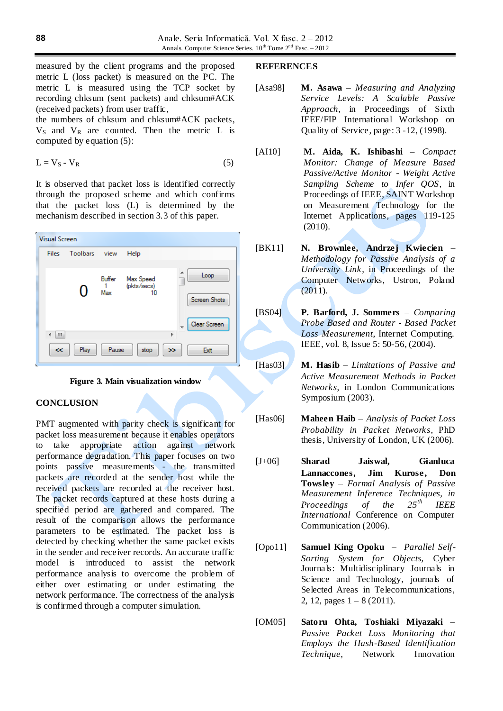measured by the client programs and the proposed metric L (loss packet) is measured on the PC. The metric L is measured using the TCP socket by recording chksum (sent packets) and chksum#ACK (received packets) from user traffic,

the numbers of chksum and chksum#ACK packets,  $V<sub>S</sub>$  and  $V<sub>R</sub>$  are counted. Then the metric L is computed by equation (5):

$$
L = V_S - V_R \tag{5}
$$

It is observed that packet loss is identified correctly through the proposed scheme and which confirms that the packet loss (L) is determined by the mechanism described in section 3.3 of this paper.





## **CONCLUSION**

PMT augmented with parity check is significant for packet loss measurement because it enables operators to take appropriate action against network performance degradation. This paper focuses on two points passive measurements - the transmitted packets are recorded at the sender host while the received packets are recorded at the receiver host. The packet records captured at these hosts during a specified period are gathered and compared. The result of the comparison allows the performance parameters to be estimated. The packet loss is detected by checking whether the same packet exists in the sender and receiver records. An accurate traffic model is introduced to assist the network performance analysis to overcome the problem of either over estimating or under estimating the network performance. The correctness of the analysis is confirmed through a computer simulation.

#### **REFERENCES**

- [Asa98] **M. Asawa** *Measuring and Analyzing Service Levels: A Scalable Passive Approach*, in Proceedings of Sixth IEEE/FIP International Workshop on Quality of Service, page: 3 -12, (1998).
- [AI10] **M. Aida, K. Ishibashi**  *Compact Monitor: Change of Measure Based Passive/Active Monitor - Weight Active Sampling Scheme to Infer QOS*, in Proceedings of IEEE, SAINT Workshop on Measurement Technology for the Internet Applications, pages 119-125 (2010).
- [BK11] **N. Brownlee, Andrzej Kwiecien** *Methodology for Passive Analysis of a University Link*, in Proceedings of the Computer Networks, Ustron, Poland  $(2011).$
- [BS04] **P. Barford, J. Sommers** *Comparing Probe Based and Router - Based Packet Loss Measurement*, Internet Computing. IEEE, vol. 8, Issue 5: 50-56, (2004).
- [Has03] **M. Hasib**  *Limitations of Passive and Active Measurement Methods in Packet Networks*, in London Communications Symposium (2003).

[Has06] **Maheen Haib** – *Analysis of Packet Loss Probability in Packet Networks*, PhD thesis, University of London, UK (2006).

- [J+06] **Sharad Jaiswal, Gianluca**  Lannaccones, Jim Kurose, Don **Towsley** – *Formal Analysis of Passive Measurement Inference Techniques, in Proceedings of the 25th IEEE International* Conference on Computer Communication (2006).
- [Opo11] **Samuel King Opoku**  *Parallel Self-Sorting System for Objects,* Cyber Journals: Multidisciplinary Journals in Science and Technology, journals of Selected Areas in Telecommunications, 2, 12, pages  $1 - 8$  (2011).
- [OM05] **Satoru Ohta, Toshiaki Miyazaki** *Passive Packet Loss Monitoring that Employs the Hash-Based Identification Technique*, Network Innovation